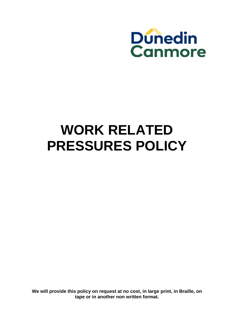

# **WORK RELATED PRESSURES POLICY**

**We will provide this policy on request at no cost, in large print, in Braille, on tape or in another non written format.**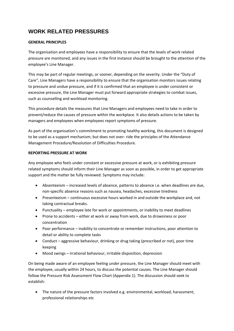## **WORK RELATED PRESSURES**

#### **GENERAL PRINCIPLES**

The organisation and employees have a responsibility to ensure that the levels of work related pressure are monitored, and any issues in the first instance should be brought to the attention of the employee's Line Manager.

This may be part of regular meetings, or sooner, depending on the severity. Under the "Duty of Care", Line Managers have a responsibility to ensure that the organisation monitors issues relating to pressure and undue pressure, and if it is confirmed that an employee is under consistent or excessive pressure, the Line Manager must put forward appropriate strategies to combat issues, such as counselling and workload monitoring.

This procedure details the measures that Line Managers and employees need to take in order to prevent/reduce the causes of pressure within the workplace. It also details actions to be taken by managers and employees when employees report symptoms of pressure.

As part of the organisation's commitment to promoting healthy working, this document is designed to be used as a support mechanism; but does not over‐ ride the principles of the Attendance Management Procedure/Resolution of Difficulties Procedure.

#### **REPORTING PRESSURE AT WORK**

Any employee who feels under constant or excessive pressure at work, or is exhibiting pressure related symptoms should inform their Line Manager as soon as possible, in order to get appropriate support and the matter be fully reviewed. Symptoms may include:

- Absenteeism increased levels of absence, patterns to absence i.e. when deadlines are due, non‐specific absence reasons such as nausea, headaches, excessive tiredness
- Presenteeism continuous excessive hours worked in and outside the workplace and, not taking contractual breaks.
- Punctuality employee late for work or appointments, or inability to meet deadlines
- Prone to accidents either at work or away from work, due to drowsiness or poor concentration
- Poor performance inability to concentrate or remember instructions, poor attention to detail or ability to complete tasks
- Conduct aggressive behaviour, drinking or drug taking (prescribed or not), poor time keeping
- Mood swings irrational behaviour, irritable disposition, depression

On being made aware of an employee feeling under pressure, the Line Manager should meet with the employee, usually within 24 hours, to discuss the potential causes. The Line Manager should follow the Pressure Risk Assessment Flow Chart (Appendix 1). The discussion should seek to establish:

 The nature of the pressure factors involved e.g. environmental, workload, harassment, professional relationships etc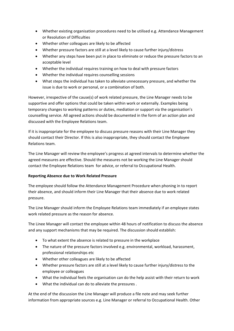- Whether existing organisation procedures need to be utilised e.g. Attendance Management or Resolution of Difficulties
- Whether other colleagues are likely to be affected
- Whether pressure factors are still at a level likely to cause further injury/distress
- Whether any steps have been put in place to eliminate or reduce the pressure factors to an acceptable level
- Whether the individual requires training on how to deal with pressure factors
- Whether the individual requires counselling sessions
- What steps the individual has taken to alleviate unnecessary pressure, and whether the issue is due to work or personal, or a combination of both.

However, irrespective of the cause(s) of work related pressure, the Line Manager needs to be supportive and offer options that could be taken within work or externally. Examples being temporary changes to working patterns or duties, mediation or support via the organisation's counselling service. All agreed actions should be documented in the form of an action plan and discussed with the Employee Relations team.

If it is inappropriate for the employee to discuss pressure reasons with their Line Manager they should contact their Director. If this is also inappropriate, they should contact the Employee Relations team.

The Line Manager will review the employee's progress at agreed intervals to determine whether the agreed measures are effective. Should the measures not be working the Line Manager should contact the Employee Relations team for advice, or referral to Occupational Health.

### **Reporting Absence due to Work Related Pressure**

The employee should follow the Attendance Management Procedure when phoning in to report their absence, and should inform their Line Manager that their absence due to work related pressure.

The Line Manager should inform the Employee Relations team immediately if an employee states work related pressure as the reason for absence.

The Linee Manager will contact the employee within 48 hours of notification to discuss the absence and any support mechanisms that may be required. The discussion should establish:

- To what extent the absence is related to pressure in the workplace
- The nature of the pressure factors involved e.g. environmental, workload, harassment, professional relationships etc
- Whether other colleagues are likely to be affected
- Whether pressure factors are still at a level likely to cause further injury/distress to the employee or colleagues
- What the individual feels the organisation can do the help assist with their return to work
- What the individual can do to alleviate the pressures .

At the end of the discussion the Line Manager will produce a file note and may seek further information from appropriate sources e.g. Line Manager or referral to Occupational Health. Other